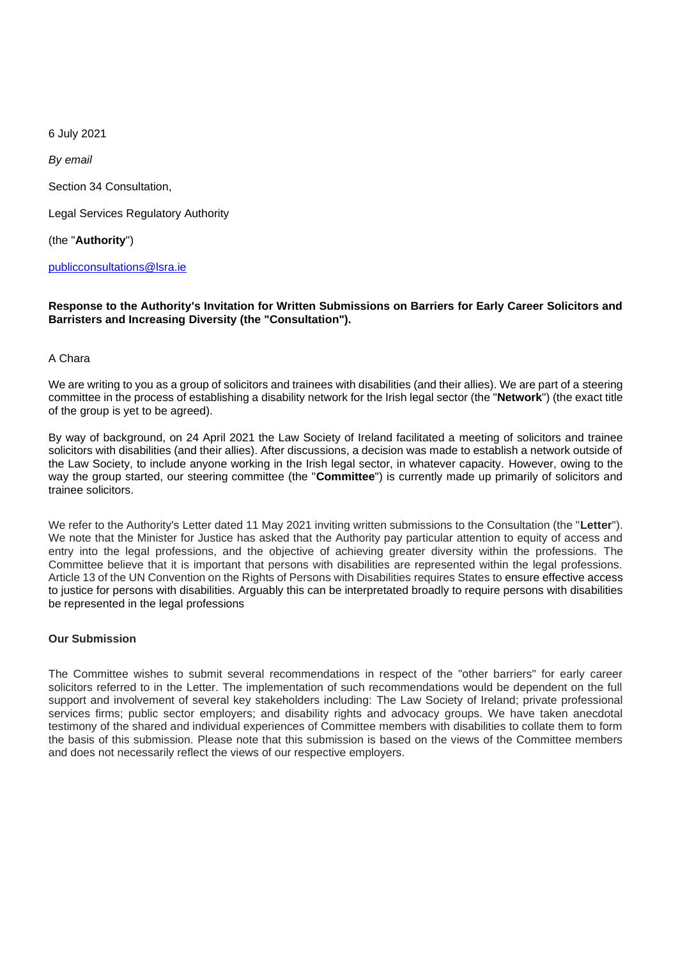6 July 2021

*By email*

Section 34 Consultation,

Legal Services Regulatory Authority

(the "**Authority**")

[publicconsultations@lsra.ie](mailto:publicconsultations@lsra.ie)

#### **Response to the Authority's Invitation for Written Submissions on Barriers for Early Career Solicitors and Barristers and Increasing Diversity (the "Consultation").**

#### A Chara

We are writing to you as a group of solicitors and trainees with disabilities (and their allies). We are part of a steering committee in the process of establishing a disability network for the Irish legal sector (the "**Network**") (the exact title of the group is yet to be agreed).

By way of background, on 24 April 2021 the Law Society of Ireland facilitated a meeting of solicitors and trainee solicitors with disabilities (and their allies). After discussions, a decision was made to establish a network outside of the Law Society, to include anyone working in the Irish legal sector, in whatever capacity. However, owing to the way the group started, our steering committee (the "**Committee**") is currently made up primarily of solicitors and trainee solicitors.

We refer to the Authority's Letter dated 11 May 2021 inviting written submissions to the Consultation (the "**Letter**"). We note that the Minister for Justice has asked that the Authority pay particular attention to equity of access and entry into the legal professions, and the objective of achieving greater diversity within the professions. The Committee believe that it is important that persons with disabilities are represented within the legal professions. Article 13 of the UN Convention on the Rights of Persons with Disabilities requires States to ensure effective access to justice for persons with disabilities. Arguably this can be interpretated broadly to require persons with disabilities be represented in the legal professions

### **Our Submission**

The Committee wishes to submit several recommendations in respect of the "other barriers" for early career solicitors referred to in the Letter. The implementation of such recommendations would be dependent on the full support and involvement of several key stakeholders including: The Law Society of Ireland; private professional services firms; public sector employers; and disability rights and advocacy groups. We have taken anecdotal testimony of the shared and individual experiences of Committee members with disabilities to collate them to form the basis of this submission. Please note that this submission is based on the views of the Committee members and does not necessarily reflect the views of our respective employers.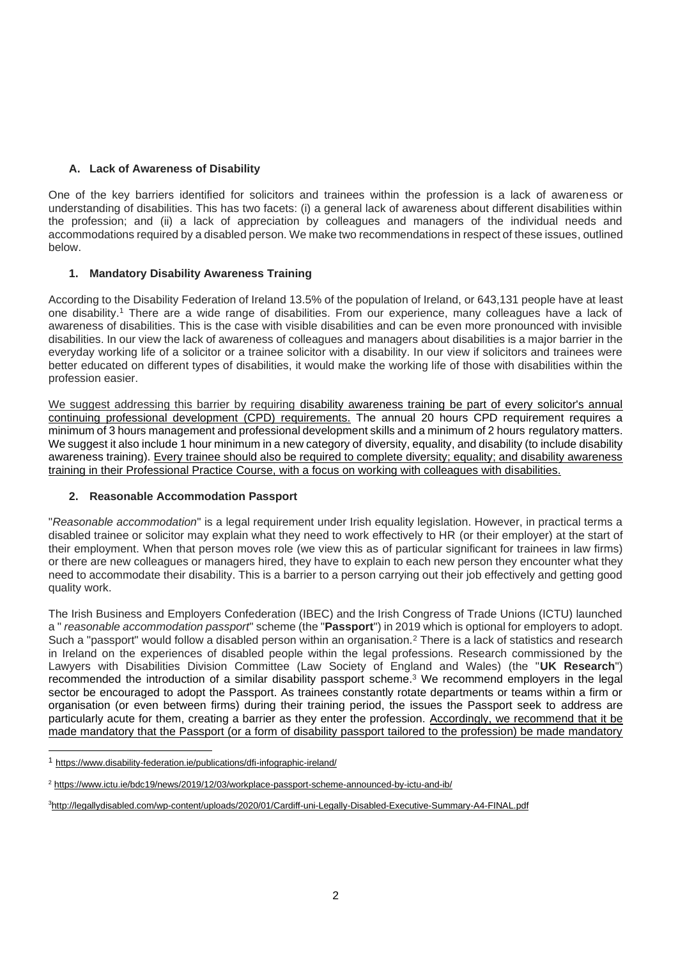## **A. Lack of Awareness of Disability**

One of the key barriers identified for solicitors and trainees within the profession is a lack of awareness or understanding of disabilities. This has two facets: (i) a general lack of awareness about different disabilities within the profession; and (ii) a lack of appreciation by colleagues and managers of the individual needs and accommodations required by a disabled person. We make two recommendations in respect of these issues, outlined below.

## **1. Mandatory Disability Awareness Training**

According to the Disability Federation of Ireland 13.5% of the population of Ireland, or 643,131 people have at least one disability.<sup>1</sup> There are a wide range of disabilities. From our experience, many colleagues have a lack of awareness of disabilities. This is the case with visible disabilities and can be even more pronounced with invisible disabilities. In our view the lack of awareness of colleagues and managers about disabilities is a major barrier in the everyday working life of a solicitor or a trainee solicitor with a disability. In our view if solicitors and trainees were better educated on different types of disabilities, it would make the working life of those with disabilities within the profession easier.

We suggest addressing this barrier by requiring disability awareness training be part of every solicitor's annual continuing professional development (CPD) requirements. The annual 20 hours CPD requirement requires a minimum of 3 hours management and professional development skills and a minimum of 2 hours regulatory matters. We suggest it also include 1 hour minimum in a new category of diversity, equality, and disability (to include disability awareness training). Every trainee should also be required to complete diversity; equality; and disability awareness training in their Professional Practice Course, with a focus on working with colleagues with disabilities.

### **2. Reasonable Accommodation Passport**

"*Reasonable accommodation*" is a legal requirement under Irish equality legislation. However, in practical terms a disabled trainee or solicitor may explain what they need to work effectively to HR (or their employer) at the start of their employment. When that person moves role (we view this as of particular significant for trainees in law firms) or there are new colleagues or managers hired, they have to explain to each new person they encounter what they need to accommodate their disability. This is a barrier to a person carrying out their job effectively and getting good quality work.

The Irish Business and Employers Confederation (IBEC) and the Irish Congress of Trade Unions (ICTU) launched a " *reasonable accommodation passport*" scheme (the "**Passport**") in 2019 which is optional for employers to adopt. Such a "passport" would follow a disabled person within an organisation.<sup>2</sup> There is a lack of statistics and research in Ireland on the experiences of disabled people within the legal professions. Research commissioned by the Lawyers with Disabilities Division Committee (Law Society of England and Wales) (the "**UK Research**") recommended the introduction of a similar disability passport scheme.<sup>3</sup> We recommend employers in the legal sector be encouraged to adopt the Passport. As trainees constantly rotate departments or teams within a firm or organisation (or even between firms) during their training period, the issues the Passport seek to address are particularly acute for them, creating a barrier as they enter the profession. Accordingly, we recommend that it be made mandatory that the Passport (or a form of disability passport tailored to the profession) be made mandatory

<sup>1</sup> <https://www.disability-federation.ie/publications/dfi-infographic-ireland/>

<sup>2</sup> <https://www.ictu.ie/bdc19/news/2019/12/03/workplace-passport-scheme-announced-by-ictu-and-ib/>

<sup>3</sup><http://legallydisabled.com/wp-content/uploads/2020/01/Cardiff-uni-Legally-Disabled-Executive-Summary-A4-FINAL.pdf>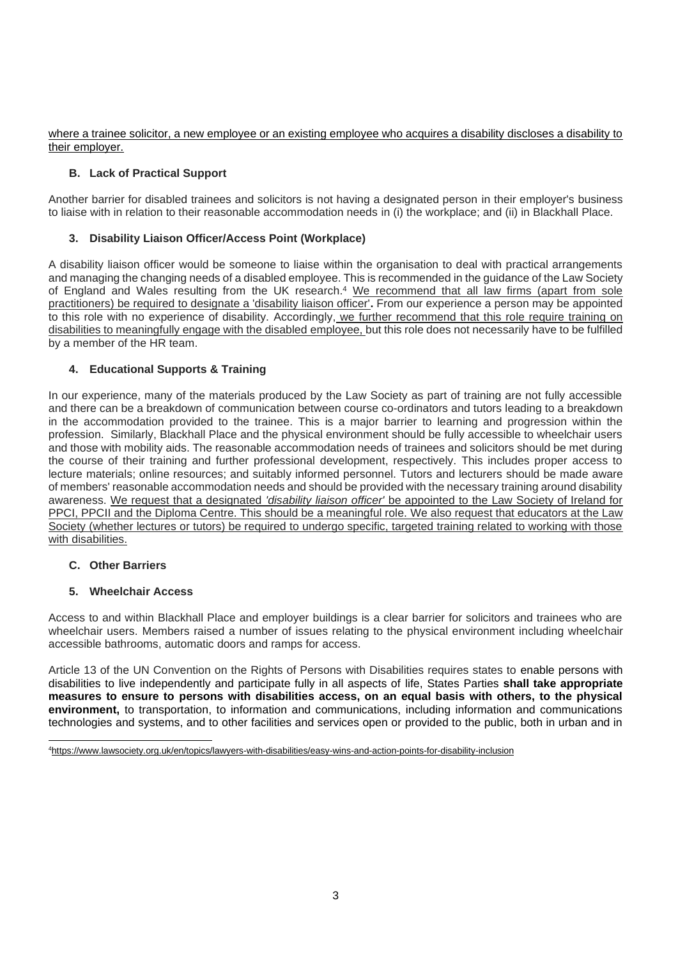where a trainee solicitor, a new employee or an existing employee who acquires a disability discloses a disability to their employer.

## **B. Lack of Practical Support**

Another barrier for disabled trainees and solicitors is not having a designated person in their employer's business to liaise with in relation to their reasonable accommodation needs in (i) the workplace; and (ii) in Blackhall Place.

### **3. Disability Liaison Officer/Access Point (Workplace)**

A disability liaison officer would be someone to liaise within the organisation to deal with practical arrangements and managing the changing needs of a disabled employee. This is recommended in the guidance of the Law Society of England and Wales resulting from the UK research.<sup>4</sup> We recommend that all law firms (apart from sole practitioners) be required to designate a 'disability liaison officer'**.** From our experience a person may be appointed to this role with no experience of disability. Accordingly, we further recommend that this role require training on disabilities to meaningfully engage with the disabled employee, but this role does not necessarily have to be fulfilled by a member of the HR team.

### **4. Educational Supports & Training**

In our experience, many of the materials produced by the Law Society as part of training are not fully accessible and there can be a breakdown of communication between course co-ordinators and tutors leading to a breakdown in the accommodation provided to the trainee. This is a major barrier to learning and progression within the profession. Similarly, Blackhall Place and the physical environment should be fully accessible to wheelchair users and those with mobility aids. The reasonable accommodation needs of trainees and solicitors should be met during the course of their training and further professional development, respectively. This includes proper access to lecture materials; online resources; and suitably informed personnel. Tutors and lecturers should be made aware of members' reasonable accommodation needs and should be provided with the necessary training around disability awareness. We request that a designated *'disability liaison officer'* be appointed to the Law Society of Ireland for PPCI, PPCII and the Diploma Centre. This should be a meaningful role. We also request that educators at the Law Society (whether lectures or tutors) be required to undergo specific, targeted training related to working with those with disabilities.

### **C. Other Barriers**

### **5. Wheelchair Access**

Access to and within Blackhall Place and employer buildings is a clear barrier for solicitors and trainees who are wheelchair users. Members raised a number of issues relating to the physical environment including wheelchair accessible bathrooms, automatic doors and ramps for access.

Article 13 of the UN Convention on the Rights of Persons with Disabilities requires states to enable persons with disabilities to live independently and participate fully in all aspects of life, States Parties **shall take appropriate measures to ensure to persons with disabilities access, on an equal basis with others, to the physical environment,** to transportation, to information and communications, including information and communications technologies and systems, and to other facilities and services open or provided to the public, both in urban and in

4<https://www.lawsociety.org.uk/en/topics/lawyers-with-disabilities/easy-wins-and-action-points-for-disability-inclusion>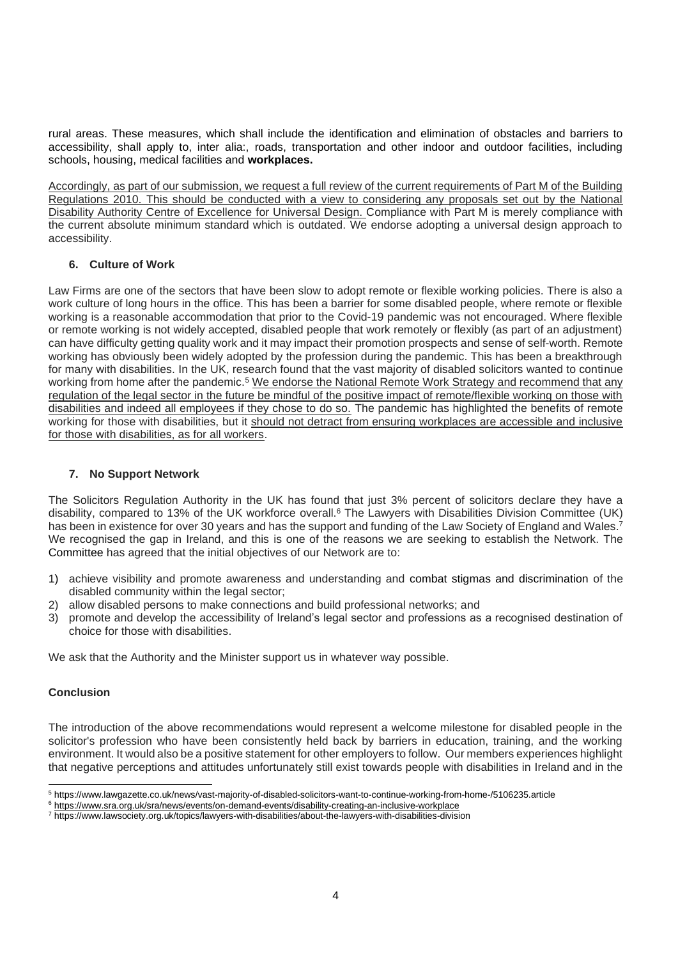rural areas. These measures, which shall include the identification and elimination of obstacles and barriers to accessibility, shall apply to, inter alia:, roads, transportation and other indoor and outdoor facilities, including schools, housing, medical facilities and **workplaces.** 

Accordingly, as part of our submission, we request a full review of the current requirements of Part M of the Building Regulations 2010. This should be conducted with a view to considering any proposals set out by the National Disability Authority Centre of Excellence for Universal Design. Compliance with Part M is merely compliance with the current absolute minimum standard which is outdated. We endorse adopting a universal design approach to accessibility.

#### **6. Culture of Work**

Law Firms are one of the sectors that have been slow to adopt remote or flexible working policies. There is also a work culture of long hours in the office. This has been a barrier for some disabled people, where remote or flexible working is a reasonable accommodation that prior to the Covid-19 pandemic was not encouraged. Where flexible or remote working is not widely accepted, disabled people that work remotely or flexibly (as part of an adjustment) can have difficulty getting quality work and it may impact their promotion prospects and sense of self-worth. Remote working has obviously been widely adopted by the profession during the pandemic. This has been a breakthrough for many with disabilities. In the UK, research found that the vast majority of disabled solicitors wanted to continue working from home after the pandemic.<sup>5</sup> We endorse the [National Remote Work Strategy](https://enterprise.gov.ie/en/Publications/Publication-files/Making-Remote-Work.pdf) and recommend that any regulation of the legal sector in the future be mindful of the positive impact of remote/flexible working on those with disabilities and indeed all employees if they chose to do so. The pandemic has highlighted the benefits of remote working for those with disabilities, but it should not detract from ensuring workplaces are accessible and inclusive for those with disabilities, as for all workers.

#### **7. No Support Network**

The Solicitors Regulation Authority in the UK has found that just 3% percent of solicitors declare they have a disability, compared to 13% of the UK workforce overall.<sup>6</sup> The Lawyers with Disabilities Division Committee (UK) has been in existence for over 30 years and has the support and funding of the Law Society of England and Wales. 7 We recognised the gap in Ireland, and this is one of the reasons we are seeking to establish the Network. The Committee has agreed that the initial objectives of our Network are to:

- 1) achieve visibility and promote awareness and understanding and combat stigmas and discrimination of the disabled community within the legal sector;
- 2) allow disabled persons to make connections and build professional networks; and
- 3) promote and develop the accessibility of Ireland's legal sector and professions as a recognised destination of choice for those with disabilities.

We ask that the Authority and the Minister support us in whatever way possible.

### **Conclusion**

The introduction of the above recommendations would represent a welcome milestone for disabled people in the solicitor's profession who have been consistently held back by barriers in education, training, and the working environment. It would also be a positive statement for other employers to follow. Our members experiences highlight that negative perceptions and attitudes unfortunately still exist towards people with disabilities in [Ireland](https://www.irishtimes.com/news) and in the

<sup>5</sup> https://www.lawgazette.co.uk/news/vast-majority-of-disabled-solicitors-want-to-continue-working-from-home-/5106235.article

<sup>6</sup> <https://www.sra.org.uk/sra/news/events/on-demand-events/disability-creating-an-inclusive-workplace>

<sup>7</sup> https://www.lawsociety.org.uk/topics/lawyers-with-disabilities/about-the-lawyers-with-disabilities-division